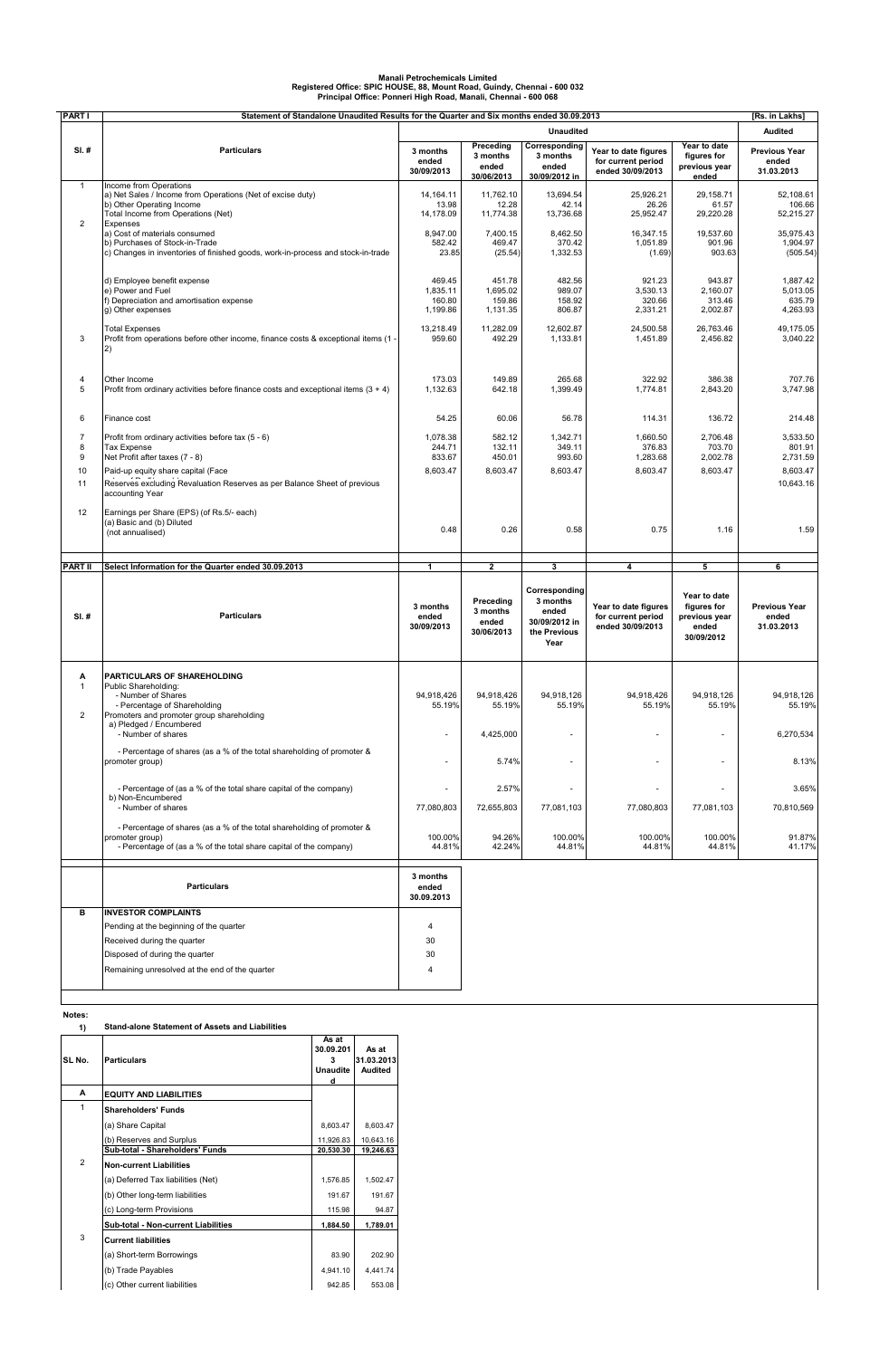| <b>PART</b>                          | Statement of Standalone Unaudited Results for the Quarter and Six months ended 30.09.2013                                                                                                                                                |                                          |                                              |                                                                             |                                                                |                                                                            | [Rs. in Lakhs]                                          |
|--------------------------------------|------------------------------------------------------------------------------------------------------------------------------------------------------------------------------------------------------------------------------------------|------------------------------------------|----------------------------------------------|-----------------------------------------------------------------------------|----------------------------------------------------------------|----------------------------------------------------------------------------|---------------------------------------------------------|
|                                      |                                                                                                                                                                                                                                          |                                          |                                              | <b>Unaudited</b>                                                            |                                                                |                                                                            | <b>Audited</b>                                          |
| $SI.$ #                              | <b>Particulars</b>                                                                                                                                                                                                                       | 3 months<br>ended<br>30/09/2013          | Preceding<br>3 months<br>ended<br>30/06/2013 | Corresponding<br>3 months<br>ended<br>30/09/2012 in                         | Year to date figures<br>for current period<br>ended 30/09/2013 | Year to date<br>figures for<br>previous year<br>ended                      | <b>Previous Year</b><br>ended<br>31.03.2013             |
| $\mathbf{1}$<br>$\overline{2}$       | Income from Operations<br>a) Net Sales / Income from Operations (Net of excise duty)<br>b) Other Operating Income<br>Total Income from Operations (Net)                                                                                  | 14, 164. 11<br>13.98<br>14,178.09        | 11,762.10<br>12.28<br>11,774.38              | 13,694.54<br>42.14<br>13,736.68                                             | 25,926.21<br>26.26<br>25,952.47                                | 29,158.71<br>61.57<br>29,220.28                                            | 52,108.61<br>106.66<br>52,215.27                        |
|                                      | Expenses<br>a) Cost of materials consumed<br>b) Purchases of Stock-in-Trade<br>c) Changes in inventories of finished goods, work-in-process and stock-in-trade                                                                           | 8,947.00<br>582.42<br>23.85              | 7,400.15<br>469.47<br>(25.54)                | 8,462.50<br>370.42<br>1,332.53                                              | 16,347.15<br>1,051.89<br>(1.69)                                | 19,537.60<br>901.96<br>903.63                                              | 35,975.43<br>1,904.97<br>(505.54)                       |
|                                      | d) Employee benefit expense<br>e) Power and Fuel<br>f) Depreciation and amortisation expense<br>g) Other expenses                                                                                                                        | 469.45<br>1,835.11<br>160.80<br>1,199.86 | 451.78<br>1,695.02<br>159.86<br>1,131.35     | 482.56<br>989.07<br>158.92<br>806.87                                        | 921.23<br>3,530.13<br>320.66<br>2,331.21                       | 943.87<br>2,160.07<br>313.46<br>2,002.87                                   | 1,887.42<br>5,013.05<br>635.79<br>4,263.93              |
| 3                                    | <b>Total Expenses</b><br>Profit from operations before other income, finance costs & exceptional items (1 -<br>2)                                                                                                                        | 13,218.49<br>959.60                      | 11,282.09<br>492.29                          | 12,602.87<br>1,133.81                                                       | 24,500.58<br>1,451.89                                          | 26,763.46<br>2,456.82                                                      | 49,175.05<br>3,040.22                                   |
| 4<br>5                               | Other Income<br>Profit from ordinary activities before finance costs and exceptional items $(3 + 4)$                                                                                                                                     | 173.03<br>1,132.63                       | 149.89<br>642.18                             | 265.68<br>1,399.49                                                          | 322.92<br>1,774.81                                             | 386.38<br>2,843.20                                                         | 707.76<br>3,747.98                                      |
| 6                                    | Finance cost                                                                                                                                                                                                                             | 54.25                                    | 60.06                                        | 56.78                                                                       | 114.31                                                         | 136.72                                                                     | 214.48                                                  |
| $\overline{7}$<br>8<br>9<br>10<br>11 | Profit from ordinary activities before tax (5 - 6)<br>Tax Expense<br>Net Profit after taxes (7 - 8)<br>Paid-up equity share capital (Face<br>Reserves excluding Revaluation Reserves as per Balance Sheet of previous<br>accounting Year | 1,078.38<br>244.71<br>833.67<br>8,603.47 | 582.12<br>132.11<br>450.01<br>8,603.47       | 1,342.71<br>349.11<br>993.60<br>8,603.47                                    | 1,660.50<br>376.83<br>1,283.68<br>8,603.47                     | 2,706.48<br>703.70<br>2,002.78<br>8,603.47                                 | 3,533.50<br>801.91<br>2,731.59<br>8,603.47<br>10,643.16 |
| 12                                   | Earnings per Share (EPS) (of Rs.5/- each)<br>(a) Basic and (b) Diluted<br>(not annualised)                                                                                                                                               | 0.48                                     | 0.26                                         | 0.58                                                                        | 0.75                                                           | 1.16                                                                       | 1.59                                                    |
|                                      |                                                                                                                                                                                                                                          |                                          |                                              |                                                                             |                                                                |                                                                            |                                                         |
| <b>PART II</b>                       | Select Information for the Quarter ended 30.09.2013                                                                                                                                                                                      | $\mathbf{1}$                             | $\overline{2}$                               | $\mathbf{3}$                                                                | 4                                                              | 5                                                                          | 6                                                       |
| SI.#                                 | <b>Particulars</b>                                                                                                                                                                                                                       | 3 months<br>ended<br>30/09/2013          | Preceding<br>3 months<br>ended<br>30/06/2013 | Corresponding<br>3 months<br>ended<br>30/09/2012 in<br>the Previous<br>Year | Year to date figures<br>for current period<br>ended 30/09/2013 | Year to date<br><b>figures</b> for<br>previous year<br>ended<br>30/09/2012 | <b>Previous Year</b><br>ended<br>31.03.2013             |
| Α<br>$\mathbf{1}$<br>$\overline{2}$  | <b>PARTICULARS OF SHAREHOLDING</b><br>Public Shareholding:<br>- Number of Shares<br>- Percentage of Shareholding<br>Promoters and promoter group shareholding<br>a) Pledged / Encumbered<br>- Number of shares                           | 94,918,426<br>55.19%                     | 94,918,426<br>55.19%<br>4,425,000            | 94,918,126<br>55.19%                                                        | 94,918,426<br>55.19%                                           | 94,918,126<br>55.19%                                                       | 94.918.126<br>55.19%<br>6,270,534                       |
|                                      | - Percentage of shares (as a % of the total shareholding of promoter &                                                                                                                                                                   | $\overline{\phantom{a}}$                 | 5.74%                                        | $\overline{\phantom{a}}$                                                    |                                                                | $\sim$                                                                     |                                                         |
|                                      | promoter group)<br>- Percentage of (as a % of the total share capital of the company)<br>b) Non-Encumbered<br>- Number of shares                                                                                                         | 77,080,803                               | 2.57%<br>72,655,803                          | 77,081,103                                                                  | 77,080,803                                                     | 77,081,103                                                                 | 8.13%<br>3.65%<br>70,810,569                            |
|                                      | - Percentage of shares (as a % of the total shareholding of promoter &<br>promoter group)<br>- Percentage of (as a % of the total share capital of the company)                                                                          | 100.00%<br>44.81%                        | 94.26%<br>42.24%                             | 100.00%<br>44.81%                                                           | 100.00%<br>44.81%                                              | 100.00%<br>44.81%                                                          |                                                         |
|                                      | <b>Particulars</b>                                                                                                                                                                                                                       | 3 months<br>ended<br>30.09.2013          |                                              |                                                                             |                                                                |                                                                            | 91.87%<br>41.17%                                        |

## **Notes:**

| SL No. | <b>Particulars</b>                         | As at<br>30.09.201<br>3<br>Unaudite<br>d | As at<br>31.03.2013<br><b>Audited</b> |
|--------|--------------------------------------------|------------------------------------------|---------------------------------------|
| A      | <b>EQUITY AND LIABILITIES</b>              |                                          |                                       |
| 1      | <b>Shareholders' Funds</b>                 |                                          |                                       |
|        | (a) Share Capital                          | 8,603.47                                 | 8,603.47                              |
|        | (b) Reserves and Surplus                   | 11,926.83                                | 10,643.16                             |
|        | Sub-total - Shareholders' Funds            | 20,530.30                                | 19,246.63                             |
| 2      | <b>Non-current Liabilities</b>             |                                          |                                       |
|        | (a) Deferred Tax liabilities (Net)         | 1,576.85                                 | 1,502.47                              |
|        | (b) Other long-term liabilities            | 191.67                                   | 191.67                                |
|        | (c) Long-term Provisions                   | 115.98                                   | 94.87                                 |
|        | <b>Sub-total - Non-current Liabilities</b> | 1,884.50                                 | 1,789.01                              |
| 3      | <b>Current liabilities</b>                 |                                          |                                       |
|        | (a) Short-term Borrowings                  | 83.90                                    | 202.90                                |
|        | (b) Trade Payables                         | 4.941.10                                 | 4.441.74                              |
|        | (c) Other current liabilities              | 942.85                                   | 553.08                                |

## **1) Stand-alone Statement of Assets and Liabilities**

## **Manali Petrochemicals Limited Registered Office: SPIC HOUSE, 88, Mount Road, Guindy, Chennai - 600 032 Principal Office: Ponneri High Road, Manali, Chennai - 600 068**